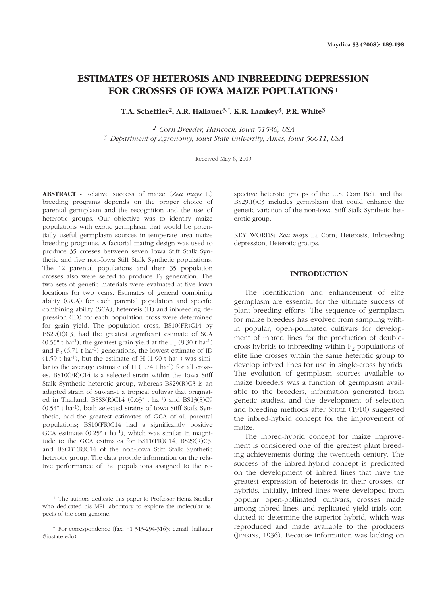# **ESTIMATES OF HETEROSIS AND INBREEDING DEPRESSION FOR CROSSES OF IOWA MAIZE POPULATIONS <sup>1</sup>**

**T**.**A. Scheffler2, A.R. Hallauer3,\*, K.R. Lamkey3, P.R. White3**

*<sup>2</sup> Corn Breeder, Hancock, Iowa 51536, USA <sup>3</sup> Department of Agronomy, Iowa State University, Ames, Iowa 50011, USA*

Received May 6, 2009

**ABSTRACT -** Relative success of maize (*Zea mays* L.) breeding programs depends on the proper choice of parental germplasm and the recognition and the use of heterotic groups. Our objective was to identify maize populations with exotic germplasm that would be potentially useful germplasm sources in temperate area maize breeding programs. A factorial mating design was used to produce 35 crosses between seven Iowa Stiff Stalk Synthetic and five non-Iowa Stiff Stalk Synthetic populations. The 12 parental populations and their 35 population crosses also were selfed to produce  $F_2$  generation. The two sets of genetic materials were evaluated at five Iowa locations for two years. Estimates of general combining ability (GCA) for each parental population and specific combining ability (SCA), heterosis (H) and inbreeding depression (ID) for each population cross were determined for grain yield. The population cross, BS10(FR)C14 by BS29(R)C3, had the greatest significant estimate of SCA  $(0.55<sup>*</sup>$  t ha<sup>-1</sup>), the greatest grain yield at the F<sub>1</sub>  $(8.30 \text{ t} \text{ ha}^{-1})$ and  $F<sub>2</sub>$  (6.71 t ha<sup>-1</sup>) generations, the lowest estimate of ID  $(1.59 \text{ t} \text{ ha}^{-1})$ , but the estimate of H $(1.90 \text{ t} \text{ ha}^{-1})$  was similar to the average estimate of  $H (1.74 t \text{ ha}^{-1})$  for all crosses. BS10(FR)C14 is a selected strain within the Iowa Stiff Stalk Synthetic heterotic group, whereas BS29(R)C3 is an adapted strain of Suwan-1 a tropical cultivar that originated in Thailand. BSSS(R)C14 (0.63\* t ha-1) and BS13(S)C9 (0.54\* t ha-1), both selected strains of Iowa Stiff Stalk Synthetic, had the greatest estimates of GCA of all parental populations; BS10(FR)C14 had a significantly positive GCA estimate  $(0.25<sup>*</sup> t ha<sup>-1</sup>)$ , which was similar in magnitude to the GCA estimates for BS11(FR)C14, BS29(R)C3, and BSCB1(R)C14 of the non-Iowa Stiff Stalk Synthetic heterotic group. The data provide information on the relative performance of the populations assigned to the respective heterotic groups of the U.S. Corn Belt, and that BS29(R)C3 includes germplasm that could enhance the genetic variation of the non-Iowa Stiff Stalk Synthetic heterotic group.

KEY WORDS: *Zea mays* L.; Corn; Heterosis; Inbreeding depression; Heterotic groups.

### **INTRODUCTION**

The identification and enhancement of elite germplasm are essential for the ultimate success of plant breeding efforts. The sequence of germplasm for maize breeders has evolved from sampling within popular, open-pollinated cultivars for development of inbred lines for the production of doublecross hybrids to inbreeding within  $F_2$  populations of elite line crosses within the same heterotic group to develop inbred lines for use in single-cross hybrids. The evolution of germplasm sources available to maize breeders was a function of germplasm available to the breeders, information generated from genetic studies, and the development of selection and breeding methods after SHULL (1910) suggested the inbred-hybrid concept for the improvement of maize.

The inbred-hybrid concept for maize improvement is considered one of the greatest plant breeding achievements during the twentieth century. The success of the inbred-hybrid concept is predicated on the development of inbred lines that have the greatest expression of heterosis in their crosses, or hybrids. Initially, inbred lines were developed from popular open-pollinated cultivars, crosses made among inbred lines, and replicated yield trials conducted to determine the superior hybrid, which was reproduced and made available to the producers (JENKINS, 1936). Because information was lacking on

<sup>1</sup> The authors dedicate this paper to Professor Heinz Saedler who dedicated his MPI laboratory to explore the molecular aspects of the corn genome.

<sup>\*</sup> For correspondence (fax: +1 515-294-3163; e.mail: hallauer @iastate.edu).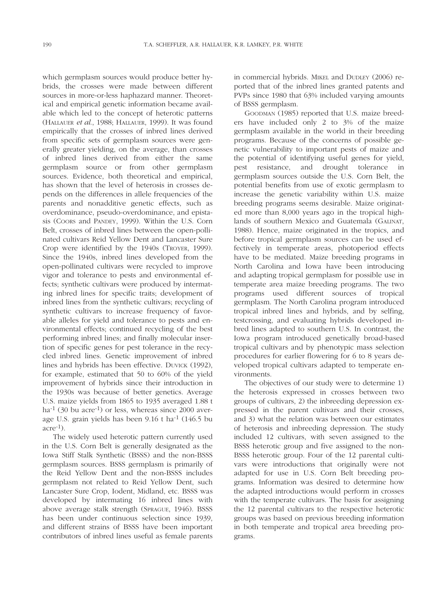which germplasm sources would produce better hybrids, the crosses were made between different sources in more-or-less haphazard manner. Theoretical and empirical genetic information became available which led to the concept of heterotic patterns (HALLAUER *et al*., 1988; HALLAUER, 1999). It was found empirically that the crosses of inbred lines derived from specific sets of germplasm sources were generally greater yielding, on the average, than crosses of inbred lines derived from either the same germplasm source or from other germplasm sources. Evidence, both theoretical and empirical, has shown that the level of heterosis in crosses depends on the differences in allele frequencies of the parents and nonadditive genetic effects, such as overdominance, pseudo-overdominance, and epistasis (COORS and PANDEY, 1999). Within the U.S. Corn Belt, crosses of inbred lines between the open-pollinated cultivars Reid Yellow Dent and Lancaster Sure Crop were identified by the 1940s (TROYER, 1999). Since the 1940s, inbred lines developed from the open-pollinated cultivars were recycled to improve vigor and tolerance to pests and environmental effects; synthetic cultivars were produced by intermating inbred lines for specific traits; development of inbred lines from the synthetic cultivars; recycling of synthetic cultivars to increase frequency of favorable alleles for yield and tolerance to pests and environmental effects; continued recycling of the best performing inbred lines; and finally molecular insertion of specific genes for pest tolerance in the recycled inbred lines. Genetic improvement of inbred lines and hybrids has been effective. DUVICK (1992), for example, estimated that 50 to 60% of the yield improvement of hybrids since their introduction in the 1930s was because of better genetics. Average U.S. maize yields from 1865 to 1935 averaged 1.88 t ha<sup>-1</sup> (30 bu acre<sup>-1</sup>) or less, whereas since 2000 average U.S. grain yields has been 9.16 t ha-1 (146.5 bu  $\alpha$ cre<sup>-1</sup>).

The widely used heterotic pattern currently used in the U.S. Corn Belt is generally designated as the Iowa Stiff Stalk Synthetic (BSSS) and the non-BSSS germplasm sources. BSSS germplasm is primarily of the Reid Yellow Dent and the non-BSSS includes germplasm not related to Reid Yellow Dent, such Lancaster Sure Crop, Iodent, Midland, etc. BSSS was developed by intermating 16 inbred lines with above average stalk strength (SPRAGUE, 1946). BSSS has been under continuous selection since 1939, and different strains of BSSS have been important contributors of inbred lines useful as female parents

in commercial hybrids. MIKEL and DUDLEY (2006) reported that of the inbred lines granted patents and PVPs since 1980 that 63% included varying amounts of BSSS germplasm.

GOODMAN (1985) reported that U.S. maize breeders have included only 2 to 3% of the maize germplasm available in the world in their breeding programs. Because of the concerns of possible genetic vulnerability to important pests of maize and the potential of identifying useful genes for yield, pest resistance, and drought tolerance in germplasm sources outside the U.S. Corn Belt, the potential benefits from use of exotic germplasm to increase the genetic variability within U.S. maize breeding programs seems desirable. Maize originated more than 8,000 years ago in the tropical highlands of southern Mexico and Guatemala (GALINAT, 1988). Hence, maize originated in the tropics, and before tropical germplasm sources can be used effectively in temperate areas, photoperiod effects have to be mediated. Maize breeding programs in North Carolina and Iowa have been introducing and adapting tropical germplasm for possible use in temperate area maize breeding programs. The two programs used different sources of tropical germplasm. The North Carolina program introduced tropical inbred lines and hybrids, and by selfing, testcrossing, and evaluating hybrids developed inbred lines adapted to southern U.S. In contrast, the Iowa program introduced genetically broad-based tropical cultivars and by phenotypic mass selection procedures for earlier flowering for 6 to 8 years developed tropical cultivars adapted to temperate environments.

The objectives of our study were to determine 1) the heterosis expressed in crosses between two groups of cultivars, 2) the inbreeding depression expressed in the parent cultivars and their crosses, and 3) what the relation was between our estimates of heterosis and inbreeding depression. The study included 12 cultivars, with seven assigned to the BSSS heterotic group and five assigned to the non-BSSS heterotic group. Four of the 12 parental cultivars were introductions that originally were not adapted for use in U.S. Corn Belt breeding programs. Information was desired to determine how the adapted introductions would perform in crosses with the temperate cultivars. The basis for assigning the 12 parental cultivars to the respective heterotic groups was based on previous breeding information in both temperate and tropical area breeding programs.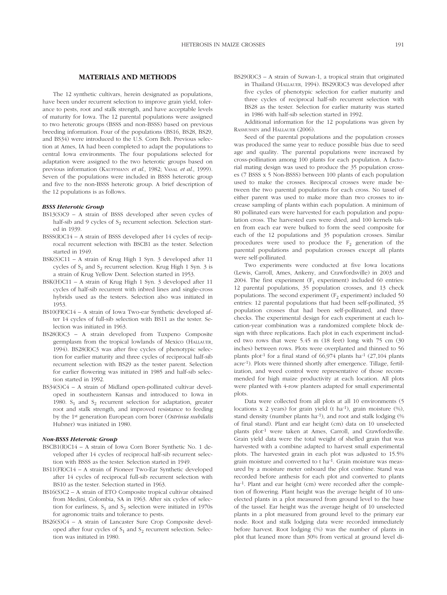#### **MATERIALS AND METHODS**

The 12 synthetic cultivars, herein designated as populations, have been under recurrent selection to improve grain yield, tolerance to pests, root and stalk strength, and have acceptable levels of maturity for Iowa. The 12 parental populations were assigned to two heterotic groups (BSSS and non-BSSS) based on previous breeding information. Four of the populations (BS16, BS28, BS29, and BS34) were introduced to the U.S. Corn Belt. Previous selection at Ames, IA had been completed to adapt the populations to central Iowa environments. The four populations selected for adaptation were assigned to the two heterotic groups based on previous information (KAUFFMANN *et al*., 1982; VASAL *et al*., 1999). Seven of the populations were included in BSSS heterotic group and five to the non-BSSS heterotic group. A brief description of the 12 populations is as follows.

### *BSSS Heterotic Group*

- BS13(S)C9 A strain of BSSS developed after seven cycles of half-sib and 9 cycles of  $S<sub>2</sub>$  recurrent selection. Selection started in 1939.
- BSSS(R)C14 A strain of BSSS developed after 14 cycles of reciprocal recurrent selection with BSCB1 as the tester. Selection started in 1949.
- BSK(S)C11 A strain of Krug High 1 Syn. 3 developed after 11 cycles of  $S_1$  and  $S_2$  recurrent selection. Krug High 1 Syn. 3 is a strain of Krug Yellow Dent. Selection started in 1953.
- BSK(H)C11 A strain of Krug High 1 Syn. 3 developed after 11 cycles of half-sib recurrent with inbred lines and single-cross hybrids used as the testers. Selection also was initiated in 1953.
- BS10(FR)C14 A strain of Iowa Two-ear Synthetic developed after 14 cycles of full-sib selection with BS11 as the tester. Selection was initiated in 1963.
- BS28(R)C3 A strain developed from Tuxpeno Composite germplasm from the tropical lowlands of Mexico (HALLAUER, 1994). BS28(R)C3 was after five cycles of phenotypic selection for earlier maturity and three cycles of reciprocal half-sib recurrent selection with BS29 as the tester parent. Selection for earlier flowering was initiated in 1985 and half-sib selection started in 1992.
- BS34(S)C4 A strain of Midland open-pollinated cultivar developed in southeastern Kansas and introduced to Iowa in 1980.  $S_1$  and  $S_2$  recurrent selection for adaptation, greater root and stalk strength, and improved resistance to feeding by the 1st generation European corn borer (*Ostrinia nubilalis* Hubner) was initiated in 1980.

#### *Non-BSSS Heterotic Group*

- BSCB1(R)C14 A strain of Iowa Corn Borer Synthetic No. 1 developed after 14 cycles of reciprocal half-sib recurrent selection with BSSS as the tester. Selection started in 1949.
- BS11(FR)C14 A strain of Pioneer Two-Ear Synthetic developed after 14 cycles of reciprocal full-sib recurrent selection with BS10 as the tester. Selection started in 1963.
- BS16(S)C2 A strain of ETO Composite tropical cultivar obtained from Medini, Colombia, SA in 1963. After six cycles of selection for earliness,  $S_1$  and  $S_2$  selection were initiated in 1970s for agronomic traits and tolerance to pests.
- BS26(S)C4 A strain of Lancaster Sure Crop Composite developed after four cycles of  $S_1$  and  $S_2$  recurrent selection. Selection was initiated in 1980.

BS29(R)C3 – A strain of Suwan-1, a tropical strain that originated in Thailand (HALLAUER, 1994). BS29(R)C3 was developed after five cycles of phenotypic selection for earlier maturity and three cycles of reciprocal half-sib recurrent selection with BS28 as the tester. Selection for earlier maturity was started in 1986 with half-sib selection started in 1992.

Additional information for the 12 populations was given by RASMUSSEN and HALLAUER (2006).

Seed of the parental populations and the population crosses was produced the same year to reduce possible bias due to seed age and quality. The parental populations were increased by cross-pollination among 100 plants for each population. A factorial mating design was used to produce the 35 population crosses (7 BSSS x 5 Non-BSSS) between 100 plants of each population used to make the crosses. Reciprocal crosses were made between the two parental populations for each cross. No tassel of either parent was used to make more than two crosses to increase sampling of plants within each population. A minimum of 80 pollinated ears were harvested for each population and population cross. The harvested ears were dried, and 100 kernels taken from each ear were bulked to form the seed composite for each of the 12 populations and 35 population crosses. Similar procedures were used to produce the  $F_2$  generation of the parental populations and population crosses except all plants were self-pollinated.

Two experiments were conducted at five Iowa locations (Lewis, Carroll, Ames, Ankeny, and Crawfordsville) in 2003 and 2004. The first experiment  $(F_1$  experiment) included 60 entries: 12 parental populations, 35 population crosses, and 13 check populations. The second experiment  $(F<sub>2</sub>$  experiment) included 50 entries: 12 parental populations that had been self-pollinated, 35 population crosses that had been self-pollinated, and three checks. The experimental design for each experiment at each location-year combination was a randomized complete block design with three replications. Each plot in each experiment included two rows that were 5.45 m (18 feet) long with 75 cm (30 inches) between rows. Plots were overplanted and thinned to 56 plants plot<sup>-1</sup> for a final stand of  $66,974$  plants ha<sup>-1</sup> (27,104 plants acre-1). Plots were thinned shortly after emergence. Tillage, fertilization, and weed control were representative of those recommended for high maize productivity at each location. All plots were planted with 4-row planters adapted for small experimental plots.

Data were collected from all plots at all 10 environments (5 locations x 2 years) for grain yield (t ha<sup>-1</sup>), grain moisture  $(\%)$ , stand density (number plants ha-1), and root and stalk lodging (% of final stand). Plant and ear height (cm) data on 10 unselected plants plot-1 were taken at Ames, Carroll, and Crawfordsville. Grain yield data were the total weight of shelled grain that was harvested with a combine adapted to harvest small experimental plots. The harvested grain in each plot was adjusted to 15.5% grain moisture and converted to t ha-1. Grain moisture was measured by a moisture meter onboard the plot combine. Stand was recorded before anthesis for each plot and converted to plants ha<sup>-1</sup>. Plant and ear height (cm) were recorded after the completion of flowering. Plant height was the average height of 10 unselected plants in a plot measured from ground level to the base of the tassel. Ear height was the average height of 10 unselected plants in a plot measured from ground level to the primary ear node. Root and stalk lodging data were recorded immediately before harvest. Root lodging (%) was the number of plants in plot that leaned more than 30% from vertical at ground level di-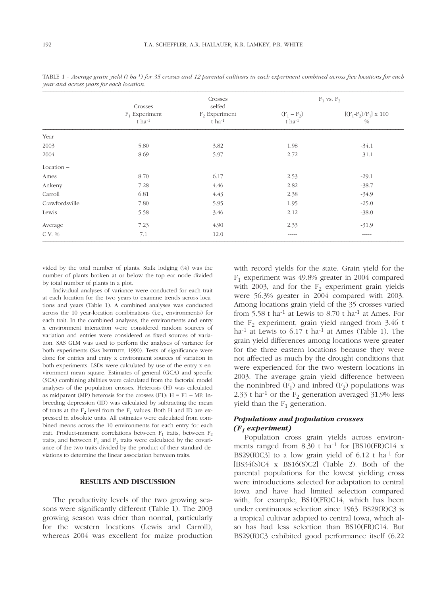|                |                                               | Crosses<br>selfed                       | $F_1$ vs. $F_2$                       |                                        |  |
|----------------|-----------------------------------------------|-----------------------------------------|---------------------------------------|----------------------------------------|--|
|                | Crosses<br>$F_1$ Experiment<br>$t$ ha $^{-1}$ | $F2$ Experiment<br>$t$ ha <sup>-1</sup> | $(F_1 - F_2)$<br>$t$ ha <sup>-1</sup> | $[(F_1 - F_2)/F_1] \times 100$<br>$\%$ |  |
| Year $-$       |                                               |                                         |                                       |                                        |  |
| 2003           | 5.80                                          | 3.82                                    | 1.98                                  | $-34.1$                                |  |
| 2004           | 8.69                                          | 5.97                                    | 2.72                                  | $-31.1$                                |  |
| $Location -$   |                                               |                                         |                                       |                                        |  |
| Ames           | 8.70                                          | 6.17                                    | 2.53                                  | $-29.1$                                |  |
| Ankeny         | 7.28                                          | 4.46                                    | 2.82                                  | $-38.7$                                |  |
| Carroll        | 6.81                                          | 4.43                                    | 2.38                                  | $-34.9$                                |  |
| Crawfordsville | 7.80                                          | 5.95                                    | 1.95                                  | $-25.0$                                |  |
| Lewis          | 5.58                                          | 3.46                                    | 2.12                                  | $-38.0$                                |  |
| Average        | 7.23                                          | 4.90                                    | 2.33                                  | $-31.9$                                |  |
| C.V. %         | 7.1                                           | 12.0                                    | $- - - - - -$                         | $- - - - -$                            |  |

TABLE 1 - *Average grain yield (t ha-1) for 35 crosses and 12 parental cultivars in each experiment combined across five locations for each year and across years for each location.*

vided by the total number of plants. Stalk lodging (%) was the number of plants broken at or below the top ear node divided by total number of plants in a plot.

Individual analyses of variance were conducted for each trait at each location for the two years to examine trends across locations and years (Table 1). A combined analyses was conducted across the 10 year-location combinations (i.e., environments) for each trait. In the combined analyses, the environments and entry x environment interaction were considered random sources of variation and entries were considered as fixed sources of variation. SAS GLM was used to perform the analyses of variance for both experiments (SAS INSTITUTE, 1990). Tests of significance were done for entries and entry x environment sources of variation in both experiments. LSDs were calculated by use of the entry x environment mean square. Estimates of general (GCA) and specific (SCA) combining abilities were calculated from the factorial model analyses of the population crosses. Heterosis (H) was calculated as midparent (MP) heterosis for the crosses (F1):  $H = F1 - MP$ . Inbreeding depression (ID) was calculated by subtracting the mean of traits at the  $F_2$  level from the  $F_1$  values. Both H and ID are expressed in absolute units. All estimates were calculated from combined means across the 10 environments for each entry for each trait. Product-moment correlations between  $F_1$  traits, between  $F_2$ traits, and between  $F_1$  and  $F_2$  traits were calculated by the covariance of the two traits divided by the product of their standard deviations to determine the linear association between traits.

### **RESULTS AND DISCUSSION**

The productivity levels of the two growing seasons were significantly different (Table 1). The 2003 growing season was drier than normal, particularly for the western locations (Lewis and Carroll), whereas 2004 was excellent for maize production with record yields for the state. Grain yield for the F1 experiment was 49.8% greater in 2004 compared with 2003, and for the  $F_2$  experiment grain yields were 56.3% greater in 2004 compared with 2003. Among locations grain yield of the 35 crosses varied from 5.58 t ha<sup>-1</sup> at Lewis to 8.70 t ha<sup>-1</sup> at Ames. For the  $F_2$  experiment, grain yield ranged from 3.46 t ha<sup>-1</sup> at Lewis to  $6.17$  t ha<sup>-1</sup> at Ames (Table 1). The grain yield differences among locations were greater for the three eastern locations because they were not affected as much by the drought conditions that were experienced for the two western locations in 2003. The average grain yield difference between the noninbred  $(F_1)$  and inbred  $(F_2)$  populations was 2.33 t ha<sup>-1</sup> or the  $F_2$  generation averaged 31.9% less yield than the  $F_1$  generation.

# *Populations and population crosses (F1 experiment)*

Population cross grain yields across environments ranged from  $8.30$  t ha<sup>-1</sup> for [BS10(FR)C14 x BS29(R)C3] to a low grain yield of  $6.12$  t ha<sup>-1</sup> for  $[BS34(S)C4 \times BS16(S)C2]$  (Table 2). Both of the parental populations for the lowest yielding cross were introductions selected for adaptation to central Iowa and have had limited selection compared with, for example, BS10(FR)C14, which has been under continuous selection since 1963. BS29(R)C3 is a tropical cultivar adapted to central Iowa, which also has had less selection than BS10(FR)C14. But BS29(R)C3 exhibited good performance itself (6.22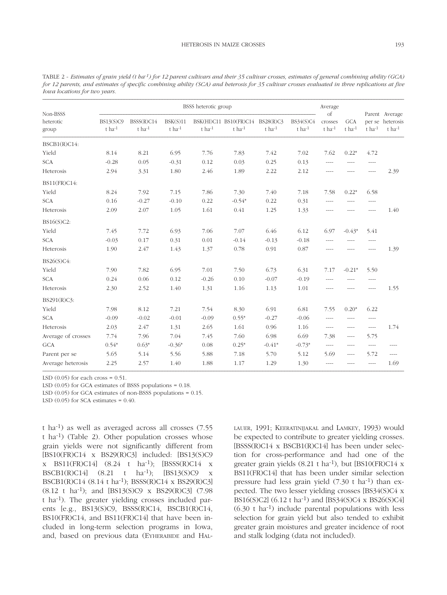| Non-BSSS<br>heterotic<br>group | BSSS heterotic group        |                              |                            |                      |                                                    |                | Average             |                         |                      |             |                                                            |
|--------------------------------|-----------------------------|------------------------------|----------------------------|----------------------|----------------------------------------------------|----------------|---------------------|-------------------------|----------------------|-------------|------------------------------------------------------------|
|                                | BS13(S)C9<br>$t$ ha $^{-1}$ | BSSS(R)C14<br>$t$ ha $^{-1}$ | BSK(S)11<br>$t$ ha $^{-1}$ | $t$ ha <sup>-1</sup> | BSK(HI)C11 BS10(FR)C14 BS28(R)C3<br>$t$ ha $^{-1}$ | $t$ ha $^{-1}$ | BS34(S)C4<br>t ha-1 | of<br>crosses<br>t ha-1 | <b>GCA</b><br>t ha-1 | $t$ ha $-1$ | Parent Average<br>per se heterosis<br>$t$ ha <sup>-1</sup> |
| BSCB1(R)C14:                   |                             |                              |                            |                      |                                                    |                |                     |                         |                      |             |                                                            |
| Yield                          | 8.14                        | 8.21                         | 6.95                       | 7.76                 | 7.83                                               | 7.42           | 7.02                | 7.62                    | $0.22*$              | 4.72        |                                                            |
| <b>SCA</b>                     | $-0.28$                     | 0.05                         | $-0.31$                    | 0.12                 | 0.03                                               | 0.25           | 0.13                | ----                    | $---$                | $---$       |                                                            |
| Heterosis                      | 2.94                        | 3.31                         | 1.80                       | 2.46                 | 1.89                                               | 2.22           | 2.12                | $---$                   | $---$                | $---$       | 2.39                                                       |
| BS11(FR)C14:                   |                             |                              |                            |                      |                                                    |                |                     |                         |                      |             |                                                            |
| Yield                          | 8.24                        | 7.92                         | 7.15                       | 7.86                 | 7.30                                               | 7.40           | 7.18                | 7.58                    | $0.22*$              | 6.58        |                                                            |
| <b>SCA</b>                     | 0.16                        | $-0.27$                      | $-0.10$                    | 0.22                 | $-0.54*$                                           | 0.22           | 0.31                | $---$                   | $---$                | $- - - -$   |                                                            |
| Heterosis                      | 2.09                        | 2.07                         | 1.05                       | 1.61                 | 0.41                                               | 1.25           | 1.33                | ----                    | ----                 | ----        | 1.40                                                       |
| BS16(S)C2:                     |                             |                              |                            |                      |                                                    |                |                     |                         |                      |             |                                                            |
| Yield                          | 7.45                        | 7.72                         | 6.93                       | 7.06                 | 7.07                                               | 6.46           | 6.12                | 6.97                    | $-0.43*$             | 5.41        |                                                            |
| <b>SCA</b>                     | $-0.03$                     | 0.17                         | 0.31                       | 0.01                 | $-0.14$                                            | $-0.13$        | $-0.18$             | $\overline{a}$          | $---$                | $---$       |                                                            |
| Heterosis                      | 1.90                        | 2.47                         | 1.43                       | 1.37                 | 0.78                                               | 0.91           | 0.87                | ----                    | $---$                | ----        | 1.39                                                       |
| BS26(S)C4:                     |                             |                              |                            |                      |                                                    |                |                     |                         |                      |             |                                                            |
| Yield                          | 7.90                        | 7.82                         | 6.95                       | 7.01                 | 7.50                                               | 6.73           | 6.31                | 7.17                    | $-0.21*$             | 5.50        |                                                            |
| <b>SCA</b>                     | 0.24                        | 0.06                         | 0.12                       | $-0.26$              | 0.10                                               | $-0.07$        | $-0.19$             | ----                    | $---$                | ----        |                                                            |
| Heterosis                      | 2.30                        | 2.52                         | 1.40                       | 1.31                 | 1.16                                               | 1.13           | 1.01                | ----                    | $--- - -$            | ----        | 1.55                                                       |
| BS291(R)C3:                    |                             |                              |                            |                      |                                                    |                |                     |                         |                      |             |                                                            |
| Yield                          | 7.98                        | 8.12                         | 7.21                       | 7.54                 | 8.30                                               | 6.91           | 6.81                | 7.55                    | $0.20*$              | 6.22        |                                                            |
| <b>SCA</b>                     | $-0.09$                     | $-0.02$                      | $-0.01$                    | $-0.09$              | $0.55*$                                            | $-0.27$        | $-0.06$             | ----                    | $---$                | ----        |                                                            |
| Heterosis                      | 2.03                        | 2.47                         | 1.31                       | 2.65                 | 1.61                                               | 0.96           | 1.16                | $---$                   | $---$                | $---$       | 1.74                                                       |
| Average of crosses             | 7.74                        | 7.96                         | 7.04                       | 7.45                 | 7.60                                               | 6.98           | 6.69                | 7.38                    | $---$                | 5.75        |                                                            |
| <b>GCA</b>                     | $0.54*$                     | $0.63*$                      | $-0.36*$                   | 0.08                 | $0.25*$                                            | $-0.41*$       | $-0.73*$            | $---$                   | ----                 | $---$       | ----                                                       |
| Parent per se                  | 5.65                        | 5.14                         | 5.56                       | 5.88                 | 7.18                                               | 5.70           | 5.12                | 5.69                    | ----                 | 5.72        | $--- -$                                                    |
| Average heterosis              | 2.25                        | 2.57                         | 1.40                       | 1.88                 | 1.17                                               | 1.29           | 1.30                | $---$                   | ----                 | ----        | 1.69                                                       |

–––––––––––––––––––––––––––––––––––––––––––––––––––––––––––––––––––––––––––––––––––––––––––––––––––––––––––––––––––––––––––––––––––––

TABLE 2 - *Estimates of grain yield (t ha-1) for 12 parent cultivars and their 35 cultivar crosses, estimates of general combining ability (GCA) for 12 parents, and estimates of specific combining ability (SCA) and heterosis for 35 cultivar crosses evaluated in three replications at five Iowa locations for two years.*

LSD  $(0.05)$  for each cross = 0.51.

LSD (0.05) for GCA estimates of BSSS populations = 0.18.

LSD (0.05) for GCA estimates of non-BSSS populations = 0.15.

LSD  $(0.05)$  for SCA estimates =  $0.40$ .

t ha-1) as well as averaged across all crosses (7.55 t ha-1) (Table 2). Other population crosses whose grain yields were not significantly different from [BS10(FR)C14 x BS29(R)C3] included: [BS13(S)C9 x BS11(FR)C14] (8.24 t ha-1); [BSSS(R)C14 x BSCB1(R)C14] (8.21 t ha-1); [BS13(S)C9 x BSCB1(R)C14 (8.14 t ha-1); BSSS(R)C14 x BS29(R)C3] (8.12 t ha-1); and [BS13(S)C9 x BS29(R)C3] (7.98 t ha-1). The greater yielding crosses included parents [e.g., BS13(S)C9, BSSS(R)C14, BSCB1(R)C14, BS10(FR)C14, and BS11(FR)C14] that have been included in long-term selection programs in Iowa, and, based on previous data (EYHERABIDE and HAL-

LAUER, 1991; KEERATINIJAKAL and LAMKEY, 1993) would be expected to contribute to greater yielding crosses. [BSSS(R)C14 x BSCB1(R)C14] has been under selection for cross-performance and had one of the greater grain yields (8.21 t ha-1), but [BS10(FR)C14 x BS11(FR)C14] that has been under similar selection pressure had less grain yield  $(7.30 \text{ t} \text{ ha}^{-1})$  than expected. The two lesser yielding crosses [BS34(S)C4 x BS16(S)C2] (6.12 t ha-1) and [BS34(S)C4 x BS26(S)C4]  $(6.30 \t{t} \text{ha}^{-1})$  include parental populations with less selection for grain yield but also tended to exhibit greater grain moistures and greater incidence of root and stalk lodging (data not included).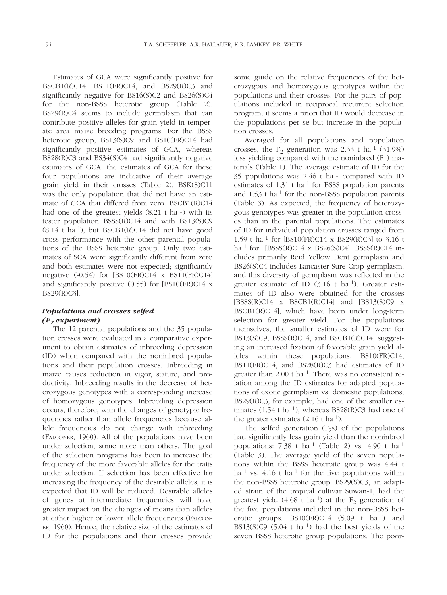Estimates of GCA were significantly positive for BSCB1(R)C14, BS11(FR)C14, and BS29(R)C3 and significantly negative for BS16(S)C2 and BS26(S)C4 for the non-BSSS heterotic group (Table 2). BS29(R)C4 seems to include germplasm that can contribute positive alleles for grain yield in temperate area maize breeding programs. For the BSSS heterotic group, BS13(S)C9 and BS10(FR)C14 had significantly positive estimates of GCA, whereas BS28(R)C3 and BS34(S)C4 had significantly negative estimates of GCA; the estimates of GCA for these four populations are indicative of their average grain yield in their crosses (Table 2). BSK(S)C11 was the only population that did not have an estimate of GCA that differed from zero. BSCB1(R)C14 had one of the greatest yields  $(8.21 \text{ t} \text{ ha}^{-1})$  with its tester population BSSS(R)C14 and with BS13(S)C9 (8.14 t ha-1), but BSCB1(R)C14 did not have good cross performance with the other parental populations of the BSSS heterotic group. Only two estimates of SCA were significantly different from zero and both estimates were not expected; significantly negative (-0.54) for [BS10(FR)C14 x BS11(FR)C14] and significantly positive (0.55) for [BS10(FR)C14 x BS29(R)C3].

## *Populations and crosses selfed (F2 experiment)*

The 12 parental populations and the 35 population crosses were evaluated in a comparative experiment to obtain estimates of inbreeding depression (ID) when compared with the noninbred populations and their population crosses. Inbreeding in maize causes reduction in vigor, stature, and productivity. Inbreeding results in the decrease of heterozygous genotypes with a corresponding increase of homozygous genotypes. Inbreeding depression occurs, therefore, with the changes of genotypic frequencies rather than allele frequencies because allele frequencies do not change with inbreeding (FALCONER, 1960). All of the populations have been under selection, some more than others. The goal of the selection programs has been to increase the frequency of the more favorable alleles for the traits under selection. If selection has been effective for increasing the frequency of the desirable alleles, it is expected that ID will be reduced. Desirable alleles of genes at intermediate frequencies will have greater impact on the changes of means than alleles at either higher or lower allele frequencies (FALCON-ER, 1960). Hence, the relative size of the estimates of ID for the populations and their crosses provide

some guide on the relative frequencies of the heterozygous and homozygous genotypes within the populations and their crosses. For the pairs of populations included in reciprocal recurrent selection program, it seems a priori that ID would decrease in the populations per se but increase in the population crosses.

Averaged for all populations and population crosses, the  $F_2$  generation was 2.33 t ha<sup>-1</sup> (31.9%) less yielding compared with the noninbred  $(F_1)$  materials (Table 1). The average estimate of ID for the 35 populations was  $2.46 \text{ t}$  ha<sup>-1</sup> compared with ID estimates of  $1.31$  t ha<sup>-1</sup> for BSSS population parents and 1.53 t ha-1 for the non-BSSS population parents (Table 3). As expected, the frequency of heterozygous genotypes was greater in the population crosses than in the parental populations. The estimates of ID for individual population crosses ranged from 1.59 t ha-1 for [BS10(FR)C14 x BS29(R)C3] to 3.16 t ha<sup>-1</sup> for [BSSS(R)C14 x BS26(S)C4]. BSSS(R)C14 includes primarily Reid Yellow Dent germplasm and BS26(S)C4 includes Lancaster Sure Crop germplasm, and this diversity of germplasm was reflected in the greater estimate of ID  $(3.16 \text{ t} \text{ ha}^{-1})$ . Greater estimates of ID also were obtained for the crosses  $[BSSS(R)C14 \times BSCB1(R)C14]$  and  $[BS13(S)C9 \times$ BSCB1(R)C14], which have been under long-term selection for greater yield. For the populations themselves, the smaller estimates of ID were for BS13(S)C9, BSSS(R)C14, and BSCB1(R)C14, suggesting an increased fixation of favorable grain yield alleles within these populations. BS10(FR)C14, BS11(FR)C14, and BS28(R)C3 had estimates of ID greater than  $2.00$  t ha<sup>-1</sup>. There was no consistent relation among the ID estimates for adapted populations of exotic germplasm vs. domestic populations; BS29(R)C3, for example, had one of the smaller estimates  $(1.54 \text{ t} \text{ ha}^{-1})$ , whereas BS28(R)C3 had one of the greater estimates  $(2.16 \text{ t} \text{ ha}^{-1})$ .

The selfed generation  $(F_2s)$  of the populations had significantly less grain yield than the noninbred populations:  $7.38$  t ha<sup>-1</sup> (Table 2) vs.  $4.90$  t ha<sup>-1</sup> (Table 3). The average yield of the seven populations within the BSSS heterotic group was 4.44 t ha<sup>-1</sup> vs.  $4.16$  t ha<sup>-1</sup> for the five populations within the non-BSSS heterotic group. BS29(S)C3, an adapted strain of the tropical cultivar Suwan-1, had the greatest yield  $(4.68 \text{ t} \text{ ha}^{-1})$  at the F<sub>2</sub> generation of the five populations included in the non-BSSS heterotic groups. BS10(FR)C14 (5.09 t ha-1) and BS13(S)C9  $(5.04 \text{ t} \text{ ha}^{-1})$  had the best yields of the seven BSSS heterotic group populations. The poor-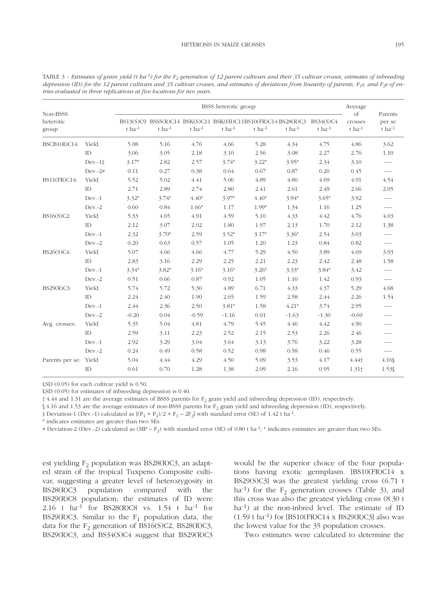| Non-BSSS<br>heterotic<br>group |           | BSSS heterotic group |                |                      |                                                                                                 |         |             |                          | Average                                          |                                     |
|--------------------------------|-----------|----------------------|----------------|----------------------|-------------------------------------------------------------------------------------------------|---------|-------------|--------------------------|--------------------------------------------------|-------------------------------------|
|                                |           | $t$ ha $-1$          | $t$ ha $^{-1}$ | $t$ ha <sup>-1</sup> | BS13(S)C9 BSSS(R)C14 BSK(S)C11 BSK(HI)C11BS10(FR)C14 BS28(R)C3<br>$t$ ha $-1$<br>$t$ ha $^{-1}$ |         | $t$ ha $-1$ | BS34(S)C4<br>$t$ ha $-1$ | <sub>of</sub><br>crosses<br>$t$ ha <sup>-1</sup> | Parents<br>per se<br>$t$ ha $^{-1}$ |
| BSCB1(R)C14:                   | Yield     | 5.08                 | 5.16           | 4.76                 | 4.66                                                                                            | 5.28    | 4.34        | 4.75                     | 4.86                                             | 3.62                                |
|                                | ID        | 3.06                 | 3.05           | 2.18                 | 3.10                                                                                            | 2.56    | 3.08        | 2.27                     | 2.76                                             | 1.10                                |
|                                | $Dev.-1‡$ | $3.17*$              | 2.82           | 2.57                 | $3.74*$                                                                                         | $3.22*$ | $3.95*$     | 2.34                     | 3.10                                             | $---$                               |
|                                | $Dev.-2#$ | 0.11                 | 0.27           | 0.38                 | 0.64                                                                                            | 0.67    | 0.87        | 0.20                     | 0.45                                             | $- - - -$                           |
| BS11(FR)C14:                   | Yield     | 5.52                 | 5.02           | 4.41                 | 5.06                                                                                            | 4.89    | 4.80        | 4.69                     | 4.91                                             | 4.54                                |
|                                | ID        | 2.71                 | 2.89           | 2.74                 | 2.80                                                                                            | 2.41    | 2.61        | 2.49                     | 2.66                                             | 2.05                                |
|                                | $Dev.-1$  | $3.32*$              | $3.74*$        | $4.40*$              | $3.97*$                                                                                         | $4.40*$ | $3.94*$     | $3.65*$                  | 3.92                                             | ----                                |
|                                | $Dev.-2$  | 0.60                 | 0.84           | $1.66*$              | 1.17                                                                                            | 1.99*   | 1.34        | 1.16                     | 1.25                                             | ----                                |
| BS16(S)C2:                     | Yield     | 5.33                 | 4.65           | 4.91                 | 4.59                                                                                            | 5.10    | 4.33        | 4.42                     | 4.76                                             | 4.03                                |
|                                | ID        | 2.12                 | 3.07           | 2.02                 | 1.80                                                                                            | 1.97    | 2.13        | 1.70                     | 2.12                                             | 1.38                                |
|                                | $Dev.-1$  | 2.32                 | $3.70*$        | 2.59                 | $3.52*$                                                                                         | $3.17*$ | $3.36*$     | 2.54                     | 3.03                                             | ----                                |
|                                | $Dev.-2$  | 0.20                 | 0.63           | 0.57                 | 1.05                                                                                            | 1.20    | 1.23        | 0.84                     | 0.82                                             | $--- -$                             |
| BS26(S)C4:                     | Yield     | 5.07                 | 4.66           | 4.66                 | 4.77                                                                                            | 5.29    | 4.50        | 3.89                     | 4.69                                             | 3.93                                |
|                                | ID        | 2.83                 | 3.16           | 2.29                 | 2.25                                                                                            | 2.21    | 2.23        | 2.42                     | 2.48                                             | 1.58                                |
|                                | $Dev.-1$  | $3.34*$              | $3.82*$        | $3.16*$              | $3.16*$                                                                                         | $3.26*$ | $3.33*$     | $3.84*$                  | 3.42                                             | $--- -$                             |
|                                | $Dev.-2$  | 0.51                 | 0.66           | 0.87                 | 0.92                                                                                            | 1.05    | 1.10        | 1.42                     | 0.93                                             | $---$                               |
| BS29(R)C3:                     | Yield     | 5.74                 | 5.72           | 5.30                 | 4.89                                                                                            | 6.71    | 4.33        | 4.37                     | 5.29                                             | 4.68                                |
|                                | ID        | 2.24                 | 2.40           | 1.90                 | 2.65                                                                                            | 1.59    | 2.58        | 2.44                     | 2.26                                             | 1.54                                |
|                                | $Dev.-1$  | 2.44                 | 2.36           | 2.50                 | $3.81*$                                                                                         | 1.58    | $4.21*$     | 3.74                     | 2.95                                             | ----                                |
|                                | $Dev.-2$  | $-0.20$              | 0.04           | $-0.59$              | $-1.16$                                                                                         | 0.01    | $-1.63$     | $-1.30$                  | $-0.69$                                          | ----                                |
| Avg. crosses:                  | Yield     | 5.35                 | 5.04           | 4.81                 | 4.79                                                                                            | 5.45    | 4.46        | 4.42                     | 4.90                                             | ----                                |
|                                | ID        | 2.59                 | 3.11           | 2.23                 | 2.52                                                                                            | 2.15    | 2.53        | 2.26                     | 2.46                                             | ----                                |
|                                | $Dev.-1$  | 2.92                 | 3.29           | 3.04                 | 3.64                                                                                            | 3.13    | 3.76        | 3.22                     | 3.28                                             | ----                                |
|                                | Dev.-2    | 0.24                 | 0.49           | 0.58                 | 0.52                                                                                            | 0.98    | 0.58        | 0.46                     | 0.55                                             | ----                                |
| Parents per se: Yield          |           | 5.04                 | 4.44           | 4.29                 | 4.50                                                                                            | 5.09    | 3.53        | 4.17                     | $4.44$ <sup>+</sup>                              | 4.16                                |
|                                | ID        | 0.61                 | 0.70           | 1.28                 | 1.38                                                                                            | 2.09    | 2.16        | 0.95                     | 1.31 <sub>†</sub>                                | 1.53\$                              |

TABLE 3 - *Estimates of grain yield (t ba<sup>-1</sup>)* for the  $F_2$  generation of 12 parent cultivars and their 35 cultivar crosses, estimates of inbreeding depression (ID) for the 12 parent cultivars and 35 cultivar crosses, and estimates of deviations from linearity of parents, F<sub>1</sub>s, and F<sub>2</sub>s of en*tries evaluated in three replications at five locations for two years.*

LSD (0.05) for each cultivar yield is 0.50.

LSD (0.05) for estimates of inbreeding depression is 0.40.

† 4.44 and 1.31 are the average estimates of BSSS parents for F2 grain yield and inbreeding depression (ID), respectively.

 $$4.16$  and 1.53 are the average estimates of non-BSSS parents for  $F_2$  grain yield and inbreeding depression (ID), respectively.

 $\pm$  Deviation-1 (Dev.-1) calculated as  $[(P_1 + P_2)/2 + F_1 - 2F_2]$  with standard error (SE) of 1.42 t ha<sup>-1</sup>.

\* indicates estimates are greater than two SEs.

# Deviation-2 (Dev.-2) calculated as  $(MP - F_2)$  with standard error (SE) of 0.80 t ha<sup>-1</sup>; \* indicates estimates are greater than two SEs.

est yielding  $F_2$  population was BS28(R)C3, an adapted strain of the tropical Tuxpeno Composite cultivar, suggesting a greater level of heterozygosity in BS28(R)C3 population compared with the BS29(R)C8 population; the estimates of ID were 2.16 t ha-1 for BS28(R)C8 vs. 1.54 t ha-1 for BS29(R)C3. Similar to the  $F_1$  population data, the data for the  $F_2$  generation of BS16(S)C2, BS28(R)C3, BS29(R)C3, and BS34(S)C4 suggest that BS29(R)C3 would be the superior choice of the four populations having exotic germplasm. [BS10(FR)C14 x BS29(S)C3] was the greatest yielding cross (6.71 t ha<sup>-1</sup>) for the  $F_2$  generation crosses (Table 3), and this cross was also the greatest yielding cross (8.30 t ha-1) at the non-inbred level. The estimate of ID  $(1.59 \text{ t} \text{ ha}^{-1})$  for [BS10(FR)C14 x BS29(R)C3] also was the lowest value for the 35 population crosses.

Two estimates were calculated to determine the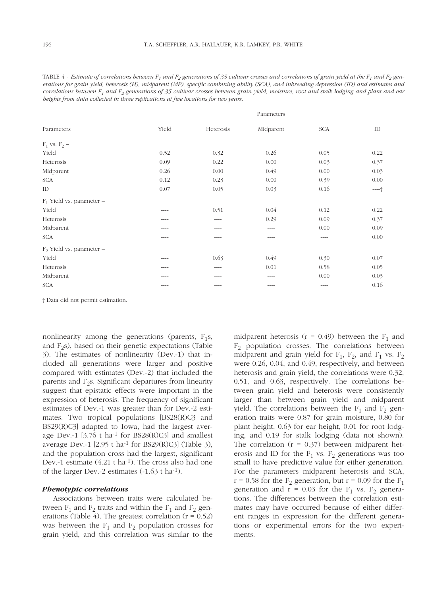|                             | Parameters |           |           |            |          |  |  |  |  |
|-----------------------------|------------|-----------|-----------|------------|----------|--|--|--|--|
| Parameters                  | Yield      | Heterosis | Midparent | <b>SCA</b> | $\rm ID$ |  |  |  |  |
| $F_1$ vs. $F_2$ –           |            |           |           |            |          |  |  |  |  |
| Yield                       | 0.52       | 0.32      | 0.26      | 0.05       | 0.22     |  |  |  |  |
| Heterosis                   | 0.09       | 0.22      | 0.00      | 0.03       | 0.37     |  |  |  |  |
| Midparent                   | 0.26       | 0.00      | 0.49      | 0.00       | 0.03     |  |  |  |  |
| <b>SCA</b>                  | 0.12       | 0.23      | 0.00      | 0.39       | 0.00     |  |  |  |  |
| ID                          | 0.07       | 0.05      | 0.03      | 0.16       | $---+$   |  |  |  |  |
| $F_1$ Yield vs. parameter – |            |           |           |            |          |  |  |  |  |
| Yield                       | ----       | 0.51      | 0.04      | 0.12       | 0.22     |  |  |  |  |
| Heterosis                   | ----       | $- - - -$ | 0.29      | 0.09       | 0.37     |  |  |  |  |
| Midparent                   | ----       | $- - - -$ | $---$     | 0.00       | 0.09     |  |  |  |  |
| <b>SCA</b>                  | ----       | ----      | ----      | $- - - -$  | 0.00     |  |  |  |  |
| $F_2$ Yield vs. parameter - |            |           |           |            |          |  |  |  |  |
| Yield                       | ----       | 0.63      | 0.49      | 0.30       | 0.07     |  |  |  |  |
| Heterosis                   | ----       | $- - - -$ | 0.01      | 0.58       | 0.05     |  |  |  |  |
| Midparent                   | ----       | ----      | $- - - -$ | 0.00       | 0.03     |  |  |  |  |
| <b>SCA</b>                  | ----       | ----      | ----      | ----       | 0.16     |  |  |  |  |

TABLE 4 - *Estimate of correlations between*  $F_1$  *and*  $F_2$  *generations of 35 cultivar crosses and correlations of grain yield at the*  $F_1$  *and*  $F_2$  *generations for grain yield, heterosis (H), midparent (MP), specific combining ability (SCA), and inbreeding depression (ID) and estimates and correlations between F1 and F2 generations of 35 cultivar crosses between grain yield, moisture, root and stalk lodging and plant and ear heights from data collected in three replications at five locations for two years.*

† Data did not permit estimation.

nonlinearity among the generations (parents,  $F_1s$ , and  $F_2s$ ), based on their genetic expectations (Table 3). The estimates of nonlinearity (Dev.-1) that included all generations were larger and positive compared with estimates (Dev.-2) that included the parents and  $F_2$ s. Significant departures from linearity suggest that epistatic effects were important in the expression of heterosis. The frequency of significant estimates of Dev.-1 was greater than for Dev.-2 estimates. Two tropical populations [BS28(R)C3 and BS29(R)C3] adapted to Iowa, had the largest average Dev.-1  $[3.76$  t ha<sup>-1</sup> for BS28(R)C3] and smallest average Dev.-1 [2.95 t ha<sup>-1</sup> for BS29(R)C3] (Table 3), and the population cross had the largest, significant Dev.-1 estimate  $(4.21 \text{ t} \text{ ha}^{-1})$ . The cross also had one of the larger Dev.-2 estimates (-1.63 t ha-1).

#### *Phenotypic correlations*

Associations between traits were calculated between  $F_1$  and  $F_2$  traits and within the  $F_1$  and  $F_2$  generations (Table 4). The greatest correlation  $(r = 0.52)$ was between the  $F_1$  and  $F_2$  population crosses for grain yield, and this correlation was similar to the midparent heterosis ( $r = 0.49$ ) between the  $F_1$  and  $F_2$  population crosses. The correlations between midparent and grain yield for  $F_1$ ,  $F_2$ , and  $F_1$  vs.  $F_2$ were 0.26, 0.04, and 0.49, respectively, and between heterosis and grain yield, the correlations were 0.32, 0.51, and 0.63, respectively. The correlations between grain yield and heterosis were consistently larger than between grain yield and midparent yield. The correlations between the  $F_1$  and  $F_2$  generation traits were 0.87 for grain moisture, 0.80 for plant height, 0.63 for ear height, 0.01 for root lodging, and 0.19 for stalk lodging (data not shown). The correlation  $(r = 0.37)$  between midparent heterosis and ID for the  $F_1$  vs.  $F_2$  generations was too small to have predictive value for either generation. For the parameters midparent heterosis and SCA,  $r = 0.58$  for the F<sub>2</sub> generation, but  $r = 0.09$  for the F<sub>1</sub> generation and  $r = 0.03$  for the  $F_1$  vs.  $F_2$  generations. The differences between the correlation estimates may have occurred because of either different ranges in expression for the different generations or experimental errors for the two experiments.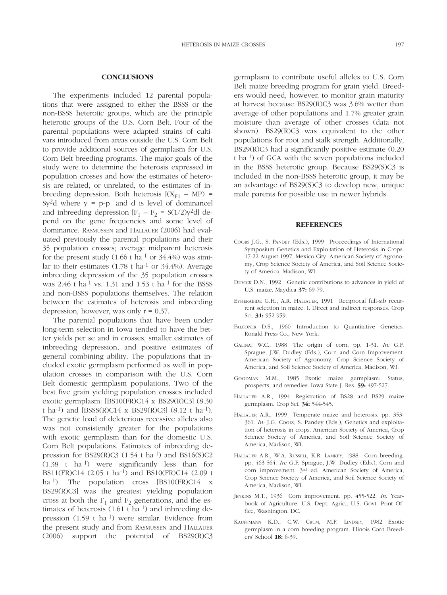### **CONCLUSIONS**

The experiments included 12 parental populations that were assigned to either the BSSS or the non-BSSS heterotic groups, which are the principle heterotic groups of the U.S. Corn Belt. Four of the parental populations were adapted strains of cultivars introduced from areas outside the U.S. Corn Belt to provide additional sources of germplasm for U.S. Corn Belt breeding programs. The major goals of the study were to determine the heterosis expressed in population crosses and how the estimates of heterosis are related, or unrelated, to the estimates of inbreeding depression. Both heterosis  $[(X_{F1} - MP) =$ Sy<sup>2</sup>d where  $y = p-p$  and d is level of dominance] and inbreeding depression  $[F_1 - F_2 = S(1/2)y^2d]$  depend on the gene frequencies and some level of dominance. RASMUSSEN and HALLAUER (2006) had evaluated previously the parental populations and their 35 population crosses; average midparent heterosis for the present study  $(1.66 \text{ t} \text{ ha}^{-1} \text{ or } 34.4\%)$  was similar to their estimates  $(1.78 \text{ t} \text{ ha}^{-1} \text{ or } 34.4\%)$ . Average inbreeding depression of the 35 population crosses was  $2.46$  t ha<sup>-1</sup> vs. 1.31 and 1.53 t ha<sup>-1</sup> for the BSSS and non-BSSS populations themselves. The relation between the estimates of heterosis and inbreeding depression, however, was only  $r = 0.37$ .

The parental populations that have been under long-term selection in Iowa tended to have the better yields per se and in crosses, smaller estimates of inbreeding depression, and positive estimates of general combining ability. The populations that included exotic germplasm performed as well in population crosses in comparison with the U.S. Corn Belt domestic germplasm populations. Two of the best five grain yielding population crosses included exotic germplasm: [BS10(FR)C14 x BS29(R)C3] (8.30 t ha<sup>-1</sup>) and [BSSS(R)C14 x BS29(R)C3] (8.12 t ha<sup>-1</sup>). The genetic load of deleterious recessive alleles also was not consistently greater for the populations with exotic germplasm than for the domestic U.S. Corn Belt populations. Estimates of inbreeding depression for BS29(R)C3  $(1.54 \text{ t} \text{ ha}^{-1})$  and BS16(S)C2 (1.38 t ha-1) were significantly less than for BS11(FR)C14 (2.05 t ha-1) and BS10(FR)C14 (2.09 t ha<sup>-1</sup>). The population cross [BS10(FR)C14 x BS29(R)C3] was the greatest yielding population cross at both the  $F_1$  and  $F_2$  generations, and the estimates of heterosis (1.61 t ha<sup>-1</sup>) and inbreeding depression (1.59 t ha-1) were similar. Evidence from the present study and from RASMUSSEN and HALLAUER (2006) support the potential of BS29(R)C3

germplasm to contribute useful alleles to U.S. Corn Belt maize breeding program for grain yield. Breeders would need, however, to monitor grain maturity at harvest because BS29(R)C3 was 3.6% wetter than average of other populations and 1.7% greater grain moisture than average of other crosses (data not shown). BS29(R)C3 was equivalent to the other populations for root and stalk strength. Additionally, BS29(R)C3 had a significantly positive estimate (0.20 t ha-1) of GCA with the seven populations included in the BSSS heterotic group. Because BS29(S)C3 is included in the non-BSSS heterotic group, it may be an advantage of BS29(S)C3 to develop new, unique male parents for possible use in newer hybrids.

### **REFERENCES**

- COORS J.G., S. PANDEY (Eds.), 1999 Proceedings of International Symposium Genetics and Exploitation of Heterosis in Crops. 17-22 August 1997, Mexico City. American Society of Agronomy, Crop Science Society of America, and Soil Science Society of America, Madison, WI.
- DUVICK D.N., 1992 Genetic contributions to advances in yield of U.S. maize. Maydica **37:** 69-79.
- EYHERABIDE G.H., A.R. HALLAUER, 1991 Reciprocal full-sib recurrent selection in maize: I. Direct and indirect responses. Crop Sci. **31:** 952-959.
- FALCONER D.S., 1960 Introduction to Quantitative Genetics. Ronald Press Co., New York.
- GALINAT W.C., 1988 The origin of corn. pp. 1-31. *In:* G.F. Sprague, J.W. Dudley (Eds.), Corn and Corn Improvement. American Society of Agronomy, Crop Science Society of America, and Soil Science Society of America, Madison, WI.
- GOODMAN M.M., 1985 Exotic maize germplasm: Status, prospects, and remedies. Iowa State J. Res. **59:** 497-527.
- HALLAUER A.R., 1994 Registration of BS28 and BS29 maize germplasm. Crop Sci. **34:** 544-545.
- HALLAUER A.R., 1999 Temperate maize and heterosis. pp. 353- 361. *In:* J.G. Coors, S. Pandey (Eds.), Genetics and exploitation of heterosis in crops. American Society of America, Crop Science Society of America, and Soil Science Society of America, Madison, WI.
- HALLAUER A.R., W.A. RUSSELL, K.R. LAMKEY, 1988 Corn breeding. pp. 463-564. *In:* G.F. Sprague, J.W. Dudley (Eds.), Corn and corn improvement. 3rd ed. American Society of America, Crop Science Society of America, and Soil Science Society of America, Madison, WI.
- JENKINS M.T., 1936 Corn improvement. pp. 455-522. *In:* Yearbook of Agriculture. U.S. Dept. Agric., U.S. Govt. Print Office, Washington, DC.
- KAUFFMANN K.D., C.W. CRUM, M.F. LINDSEY, 1982 Exotic germplasm in a corn breeding program. Illinois Corn Breeders' School **18:** 6-39.